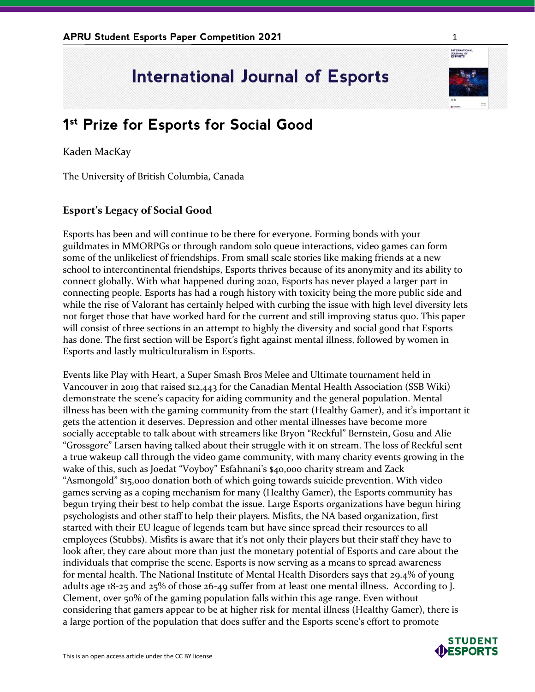## **International Journal of Esports**

## **1 st Prize for Esports for Social Good**

Kaden MacKay

The University of British Columbia, Canada

## **Esport's Legacy of Social Good**

Esports has been and will continue to be there for everyone. Forming bonds with your guildmates in MMORPGs or through random solo queue interactions, video games can form some of the unlikeliest of friendships. From small scale stories like making friends at a new school to intercontinental friendships, Esports thrives because of its anonymity and its ability to connect globally. With what happened during 2020, Esports has never played a larger part in connecting people. Esports has had a rough history with toxicity being the more public side and while the rise of Valorant has certainly helped with curbing the issue with high level diversity lets not forget those that have worked hard for the current and still improving status quo. This paper will consist of three sections in an attempt to highly the diversity and social good that Esports has done. The first section will be Esport's fight against mental illness, followed by women in Esports and lastly multiculturalism in Esports.

Events like Play with Heart, a Super Smash Bros Melee and Ultimate tournament held in Vancouver in 2019 that raised \$12,443 for the Canadian Mental Health Association (SSB Wiki) demonstrate the scene's capacity for aiding community and the general population. Mental illness has been with the gaming community from the start (Healthy Gamer), and it's important it gets the attention it deserves. Depression and other mental illnesses have become more socially acceptable to talk about with streamers like Bryon "Reckful" Bernstein, Gosu and Alie "Grossgore" Larsen having talked about their struggle with it on stream. The loss of Reckful sent a true wakeup call through the video game community, with many charity events growing in the wake of this, such as Joedat "Voyboy" Esfahnani's \$40,000 charity stream and Zack "Asmongold" \$15,000 donation both of which going towards suicide prevention. With video games serving as a coping mechanism for many (Healthy Gamer), the Esports community has begun trying their best to help combat the issue. Large Esports organizations have begun hiring psychologists and other staff to help their players. Misfits, the NA based organization, first started with their EU league of legends team but have since spread their resources to all employees (Stubbs). Misfits is aware that it's not only their players but their staff they have to look after, they care about more than just the monetary potential of Esports and care about the individuals that comprise the scene. Esports is now serving as a means to spread awareness for mental health. The National Institute of Mental Health Disorders says that 29.4% of young adults age 18-25 and 25% of those 26-49 suffer from at least one mental illness. According to J. Clement, over 50% of the gaming population falls within this age range. Even without considering that gamers appear to be at higher risk for mental illness (Healthy Gamer), there is a large portion of the population that does suffer and the Esports scene's effort to promote



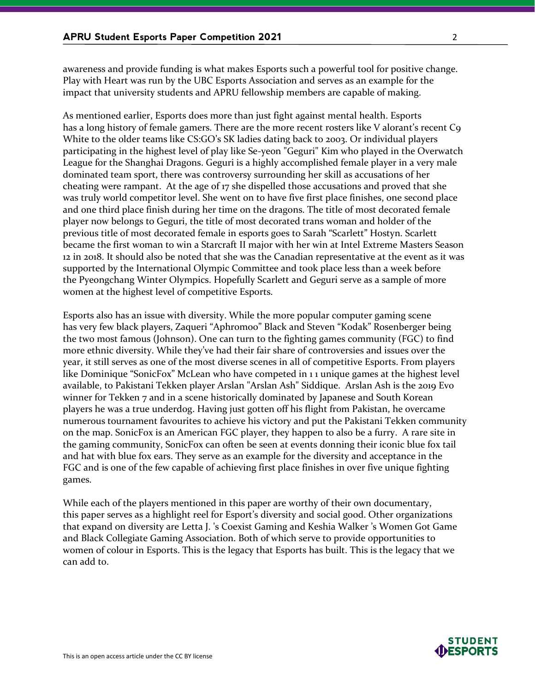awareness and provide funding is what makes Esports such a powerful tool for positive change. Play with Heart was run by the UBC Esports Association and serves as an example for the impact that university students and APRU fellowship members are capable of making.

As mentioned earlier, Esports does more than just fight against mental health. Esports has a long history of female gamers. There are the more recent rosters like V alorant's recent C9 White to the older teams like CS:GO's SK ladies dating back to 2003. Or individual players participating in the highest level of play like Se-yeon "Geguri" Kim who played in the Overwatch League for the Shanghai Dragons. Geguri is a highly accomplished female player in a very male dominated team sport, there was controversy surrounding her skill as accusations of her cheating were rampant. At the age of 17 she dispelled those accusations and proved that she was truly world competitor level. She went on to have five first place finishes, one second place and one third place finish during her time on the dragons. The title of most decorated female player now belongs to Geguri, the title of most decorated trans woman and holder of the previous title of most decorated female in esports goes to Sarah "Scarlett" Hostyn. Scarlett became the first woman to win a Starcraft II major with her win at Intel Extreme Masters Season 12 in 2018. It should also be noted that she was the Canadian representative at the event as it was supported by the International Olympic Committee and took place less than a week before the Pyeongchang Winter Olympics. Hopefully Scarlett and Geguri serve as a sample of more women at the highest level of competitive Esports.

Esports also has an issue with diversity. While the more popular computer gaming scene has very few black players, Zaqueri "Aphromoo" Black and Steven "Kodak" Rosenberger being the two most famous (Johnson). One can turn to the fighting games community (FGC) to find more ethnic diversity. While they've had their fair share of controversies and issues over the year, it still serves as one of the most diverse scenes in all of competitive Esports. From players like Dominique "SonicFox" McLean who have competed in 1 1 unique games at the highest level available, to Pakistani Tekken player Arslan "Arslan Ash" Siddique. Arslan Ash is the 2019 Evo winner for Tekken 7 and in a scene historically dominated by Japanese and South Korean players he was a true underdog. Having just gotten off his flight from Pakistan, he overcame numerous tournament favourites to achieve his victory and put the Pakistani Tekken community on the map. SonicFox is an American FGC player, they happen to also be a furry. A rare site in the gaming community, SonicFox can often be seen at events donning their iconic blue fox tail and hat with blue fox ears. They serve as an example for the diversity and acceptance in the FGC and is one of the few capable of achieving first place finishes in over five unique fighting games.

While each of the players mentioned in this paper are worthy of their own documentary, this paper serves as a highlight reel for Esport's diversity and social good. Other organizations that expand on diversity are Letta J. 's Coexist Gaming and Keshia Walker 's Women Got Game and Black Collegiate Gaming Association. Both of which serve to provide opportunities to women of colour in Esports. This is the legacy that Esports has built. This is the legacy that we can add to.